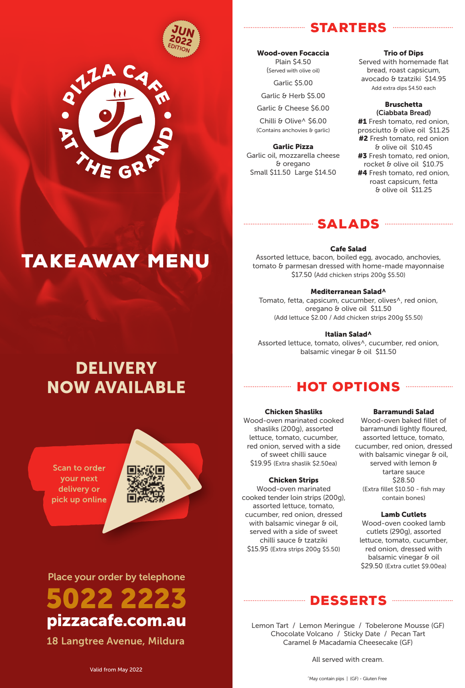



# **STARTERS**

Wood-oven Focaccia Plain \$4.50 (Served with olive oil) Garlic \$5.00

Garlic & Herb \$5.00

Garlic & Cheese \$6.00

Chilli & Olive^ \$6.00 (Contains anchovies & garlic)

Garlic Pizza Garlic oil, mozzarella cheese & oregano Small \$11.50 Large \$14.50

## Trio of Dips

...............................

Served with homemade flat bread, roast capsicum, avocado & tzatziki \$14.95 Add extra dips \$4.50 each

# Bruschetta

(Ciabbata Bread) #1 Fresh tomato, red onion, prosciutto & olive oil \$11.25 #2 Fresh tomato, red onion & olive oil \$10.45 #3 Fresh tomato, red onion, rocket & olive oil \$10.75 **#4** Fresh tomato, red onion, roast capsicum, fetta & olive oil \$11.25

# Cafe Salad

sALADs

Assorted lettuce, bacon, boiled egg, avocado, anchovies, tomato & parmesan dressed with home-made mayonnaise \$17.50 (Add chicken strips 200g \$5.50)

#### Mediterranean Salad^

Tomato, fetta, capsicum, cucumber, olives^, red onion, oregano & olive oil \$11.50 (Add lettuce \$2.00 / Add chicken strips 200g \$5.50)

#### Italian Salad^

Assorted lettuce, tomato, olives^, cucumber, red onion, balsamic vinegar & oil \$11.50

# **DELIVERY** NOW AVAILABLE

TAKEAWAY MENU

Scan to order your next delivery or pick up online



Place your order by telephone 5022 2223 pizzacafe.com.au

18 Langtree Avenue, Mildura

# **HOT OPTIONS**

## Chicken Shasliks

Wood-oven marinated cooked shasliks (200g), assorted lettuce, tomato, cucumber, red onion, served with a side of sweet chilli sauce \$19.95 (Extra shaslik \$2.50ea)

#### Chicken Strips

Wood-oven marinated cooked tender loin strips (200g), assorted lettuce, tomato, cucumber, red onion, dressed with balsamic vinegar & oil, served with a side of sweet chilli sauce & tzatziki \$15.95 (Extra strips 200g \$5.50)

## Barramundi Salad

Wood-oven baked fillet of barramundi lightly floured, assorted lettuce, tomato, cucumber, red onion, dressed with balsamic vinegar & oil, served with lemon & tartare sauce \$28.50 (Extra fillet \$10.50 - fish may contain bones)

### Lamb Cutlets

Wood-oven cooked lamb cutlets (290g), assorted lettuce, tomato, cucumber, red onion, dressed with balsamic vinegar & oil \$29.50 (Extra cutlet \$9.00ea)

# DESSERTs

Lemon Tart / Lemon Meringue / Tobelerone Mousse (GF) Chocolate Volcano / Sticky Date / Pecan Tart Caramel & Macadamia Cheesecake (GF)

All served with cream.

^May contain pips | (GF) - Gluten Free

Valid from May 2022